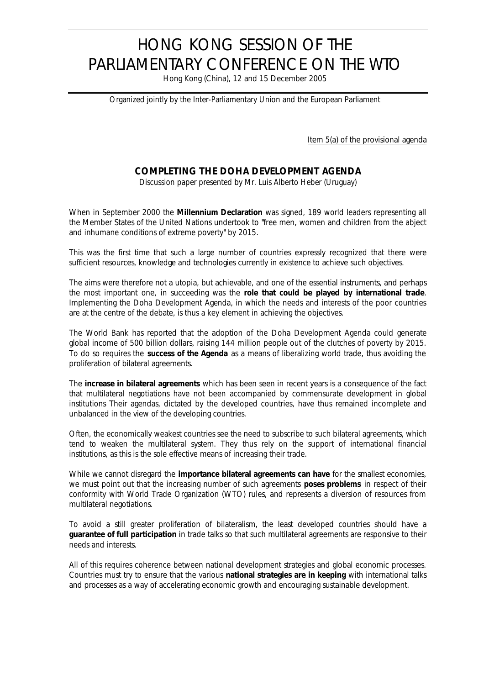## HONG KONG SESSION OF THE PARLIAMENTARY CONFERENCE ON THE WTO

Hong Kong (China), 12 and 15 December 2005

*Organized jointly by the Inter-Parliamentary Union and the European Parliament*

Item 5(a) of the provisional agenda

## **COMPLETING THE DOHA DEVELOPMENT AGENDA**

*Discussion paper presented by Mr. Luis Alberto Heber (Uruguay)*

When in September 2000 the **Millennium Declaration** was signed, 189 world leaders representing all the Member States of the United Nations undertook to "free men, women and children from the abject and inhumane conditions of extreme poverty" by 2015.

This was the first time that such a large number of countries expressly recognized that there were sufficient resources, knowledge and technologies currently in existence to achieve such objectives.

The aims were therefore not a utopia, but achievable, and one of the essential instruments, and perhaps the most important one, in succeeding was the **role that could be played by international trade**. Implementing the Doha Development Agenda, in which the needs and interests of the poor countries are at the centre of the debate, is thus a key element in achieving the objectives.

The World Bank has reported that the adoption of the Doha Development Agenda could generate global income of 500 billion dollars, raising 144 million people out of the clutches of poverty by 2015. To do so requires the **success of the Agenda** as a means of liberalizing world trade, thus avoiding the proliferation of bilateral agreements.

The **increase in bilateral agreements** which has been seen in recent years is a consequence of the fact that multilateral negotiations have not been accompanied by commensurate development in global institutions Their agendas, dictated by the developed countries, have thus remained incomplete and unbalanced in the view of the developing countries.

Often, the economically weakest countries see the need to subscribe to such bilateral agreements, which tend to weaken the multilateral system. They thus rely on the support of international financial institutions, as this is the sole effective means of increasing their trade.

While we cannot disregard the **importance bilateral agreements can have** for the smallest economies, we must point out that the increasing number of such agreements **poses problems** in respect of their conformity with World Trade Organization (WTO) rules, and represents a diversion of resources from multilateral negotiations.

To avoid a still greater proliferation of bilateralism, the least developed countries should have a **guarantee of full participation** in trade talks so that such multilateral agreements are responsive to their needs and interests.

All of this requires coherence between national development strategies and global economic processes. Countries must try to ensure that the various **national strategies are in keeping** with international talks and processes as a way of accelerating economic growth and encouraging sustainable development.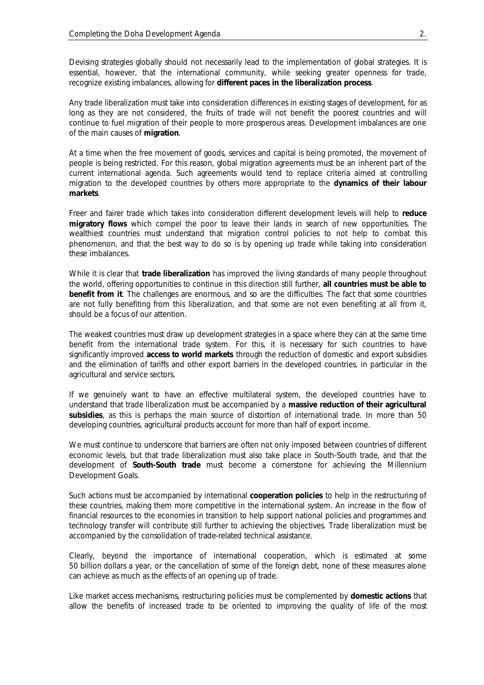Devising strategies globally should not necessarily lead to the implementation of global strategies. It is essential, however, that the international community, while seeking greater openness for trade, recognize existing imbalances, allowing for **different paces in the liberalization process**.

Any trade liberalization must take into consideration differences in existing stages of development, for as long as they are not considered, the fruits of trade will not benefit the poorest countries and will continue to fuel migration of their people to more prosperous areas. Development imbalances are one of the main causes of **migration**.

At a time when the free movement of goods, services and capital is being promoted, the movement of people is being restricted. For this reason, global migration agreements must be an inherent part of the current international agenda. Such agreements would tend to replace criteria aimed at controlling migration to the developed countries by others more appropriate to the **dynamics of their labour markets**.

Freer and fairer trade which takes into consideration different development levels will help to **reduce migratory flows** which compel the poor to leave their lands in search of new opportunities. The wealthiest countries must understand that migration control policies to not help to combat this phenomenon, and that the best way to do so is by opening up trade while taking into consideration these imbalances.

While it is clear that **trade liberalization** has improved the living standards of many people throughout the world, offering opportunities to continue in this direction still further, **all countries must be able to benefit from it**. The challenges are enormous, and so are the difficulties. The fact that some countries are not fully benefiting from this liberalization, and that some are not even benefiting at all from it, should be a focus of our attention.

The weakest countries must draw up development strategies in a space where they can at the same time benefit from the international trade system. For this, it is necessary for such countries to have significantly improved **access to world markets** through the reduction of domestic and export subsidies and the elimination of tariffs and other export barriers in the developed countries, in particular in the agricultural and service sectors.

If we genuinely want to have an effective multilateral system, the developed countries have to understand that trade liberalization must be accompanied by a **massive reduction of their agricultural subsidies**, as this is perhaps the main source of distortion of international trade. In more than 50 developing countries, agricultural products account for more than half of export income.

We must continue to underscore that barriers are often not only imposed between countries of different economic levels, but that trade liberalization must also take place in South-South trade, and that the development of **South-South trade** must become a cornerstone for achieving the Millennium Development Goals.

Such actions must be accompanied by international **cooperation policies** to help in the restructuring of these countries, making them more competitive in the international system. An increase in the flow of financial resources to the economies in transition to help support national policies and programmes and technology transfer will contribute still further to achieving the objectives. Trade liberalization must be accompanied by the consolidation of trade-related technical assistance.

Clearly, beyond the importance of international cooperation, which is estimated at some 50 billion dollars a year, or the cancellation of some of the foreign debt, none of these measures alone can achieve as much as the effects of an opening up of trade.

Like market access mechanisms, restructuring policies must be complemented by **domestic actions** that allow the benefits of increased trade to be oriented to improving the quality of life of the most